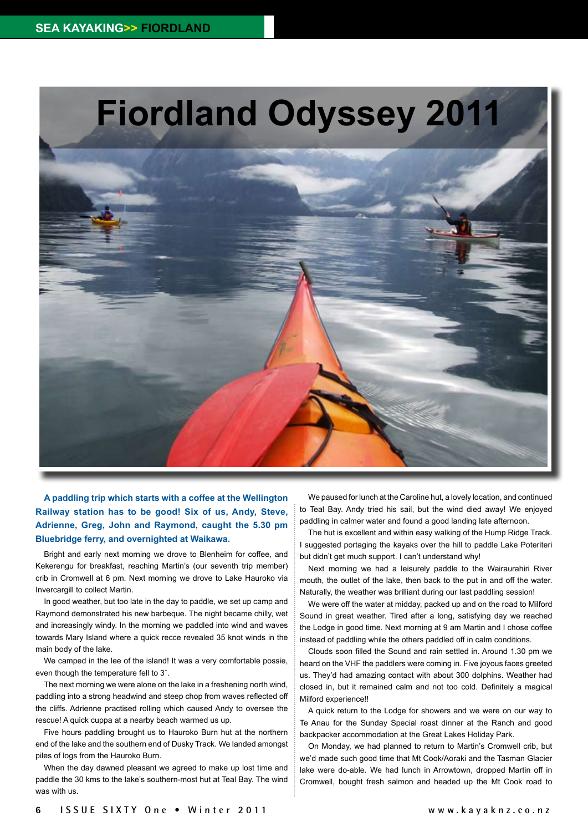

**A paddling trip which starts with a coffee at the Wellington Railway station has to be good! Six of us, Andy, Steve, Adrienne, Greg, John and Raymond, caught the 5.30 pm Bluebridge ferry, and overnighted at Waikawa.** 

Bright and early next morning we drove to Blenheim for coffee, and Kekerengu for breakfast, reaching Martin's (our seventh trip member) crib in Cromwell at 6 pm. Next morning we drove to Lake Hauroko via Invercargill to collect Martin.

In good weather, but too late in the day to paddle, we set up camp and Raymond demonstrated his new barbeque. The night became chilly, wet and increasingly windy. In the morning we paddled into wind and waves towards Mary Island where a quick recce revealed 35 knot winds in the main body of the lake.

We camped in the lee of the island! It was a very comfortable possie, even though the temperature fell to 3˚.

The next morning we were alone on the lake in a freshening north wind, paddling into a strong headwind and steep chop from waves reflected off the cliffs. Adrienne practised rolling which caused Andy to oversee the rescue! A quick cuppa at a nearby beach warmed us up.

Five hours paddling brought us to Hauroko Burn hut at the northern end of the lake and the southern end of Dusky Track. We landed amongst piles of logs from the Hauroko Burn.

When the day dawned pleasant we agreed to make up lost time and paddle the 30 kms to the lake's southern-most hut at Teal Bay. The wind was with us.

We paused for lunch at the Caroline hut, a lovely location, and continued to Teal Bay. Andy tried his sail, but the wind died away! We enjoyed paddling in calmer water and found a good landing late afternoon.

The hut is excellent and within easy walking of the Hump Ridge Track. I suggested portaging the kayaks over the hill to paddle Lake Poteriteri but didn't get much support. I can't understand why!

Next morning we had a leisurely paddle to the Wairaurahiri River mouth, the outlet of the lake, then back to the put in and off the water. Naturally, the weather was brilliant during our last paddling session!

We were off the water at midday, packed up and on the road to Milford Sound in great weather. Tired after a long, satisfying day we reached the Lodge in good time. Next morning at 9 am Martin and I chose coffee instead of paddling while the others paddled off in calm conditions.

Clouds soon filled the Sound and rain settled in. Around 1.30 pm we heard on the VHF the paddlers were coming in. Five joyous faces greeted us. They'd had amazing contact with about 300 dolphins. Weather had closed in, but it remained calm and not too cold. Definitely a magical Milford experience!!

A quick return to the Lodge for showers and we were on our way to Te Anau for the Sunday Special roast dinner at the Ranch and good backpacker accommodation at the Great Lakes Holiday Park.

On Monday, we had planned to return to Martin's Cromwell crib, but we'd made such good time that Mt Cook/Aoraki and the Tasman Glacier lake were do-able. We had lunch in Arrowtown, dropped Martin off in Cromwell, bought fresh salmon and headed up the Mt Cook road to